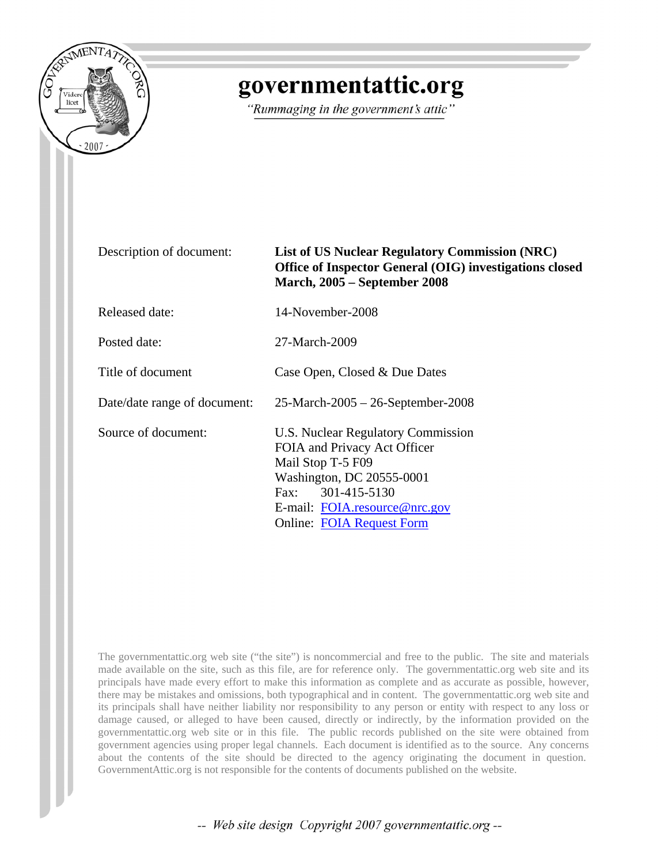

## governmentattic.org

"Rummaging in the government's attic"

| Description of document:     | <b>List of US Nuclear Regulatory Commission (NRC)</b><br>Office of Inspector General (OIG) investigations closed<br><b>March, 2005 – September 2008</b>                                                        |
|------------------------------|----------------------------------------------------------------------------------------------------------------------------------------------------------------------------------------------------------------|
| <b>Released date:</b>        | 14-November-2008                                                                                                                                                                                               |
| Posted date:                 | 27-March-2009                                                                                                                                                                                                  |
| Title of document            | Case Open, Closed & Due Dates                                                                                                                                                                                  |
| Date/date range of document: | $25$ -March-2005 - 26-September-2008                                                                                                                                                                           |
| Source of document:          | U.S. Nuclear Regulatory Commission<br>FOIA and Privacy Act Officer<br>Mail Stop T-5 F09<br>Washington, DC 20555-0001<br>Fax: 301-415-5130<br>E-mail: FOIA.resource@nrc.gov<br><b>Online: FOIA Request Form</b> |

The governmentattic.org web site ("the site") is noncommercial and free to the public. The site and materials made available on the site, such as this file, are for reference only. The governmentattic.org web site and its principals have made every effort to make this information as complete and as accurate as possible, however, there may be mistakes and omissions, both typographical and in content. The governmentattic.org web site and its principals shall have neither liability nor responsibility to any person or entity with respect to any loss or damage caused, or alleged to have been caused, directly or indirectly, by the information provided on the governmentattic.org web site or in this file. The public records published on the site were obtained from government agencies using proper legal channels. Each document is identified as to the source. Any concerns about the contents of the site should be directed to the agency originating the document in question. GovernmentAttic.org is not responsible for the contents of documents published on the website.

-- Web site design Copyright 2007 governmentattic.org --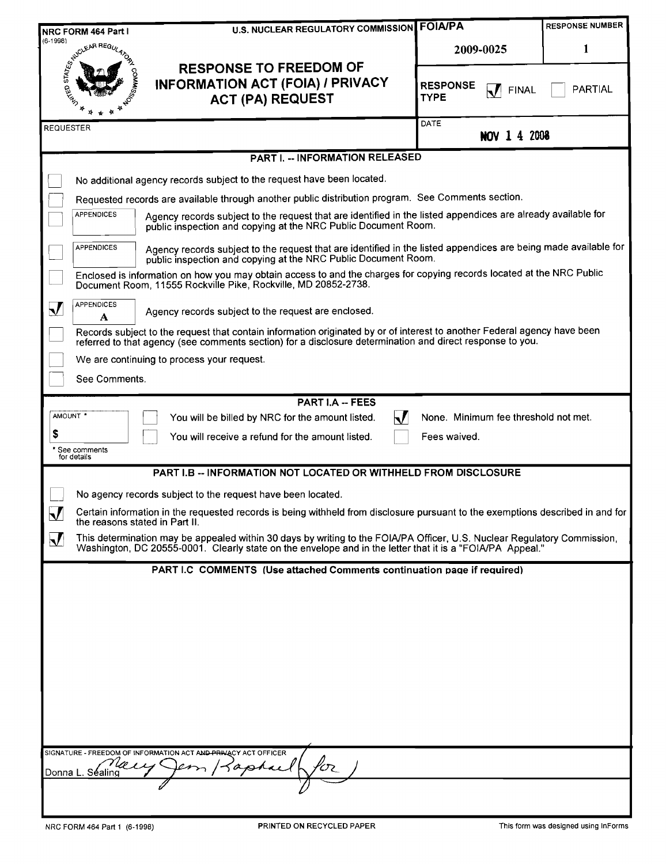|                                                                | <b>U.S. NUCLEAR REGULATORY COMMISSION FOIA/PA</b><br>NRC FORM 464 Part I                                                                                                                                                              |                                                                  | <b>RESPONSE NUMBER</b> |  |  |  |  |
|----------------------------------------------------------------|---------------------------------------------------------------------------------------------------------------------------------------------------------------------------------------------------------------------------------------|------------------------------------------------------------------|------------------------|--|--|--|--|
| $(6-1998)$                                                     |                                                                                                                                                                                                                                       | 2009-0025                                                        | 1                      |  |  |  |  |
|                                                                | <b>164</b><br><b>RESPONSE TO FREEDOM OF</b><br><b>INFORMATION ACT (FOIA) / PRIVACY</b><br><b>SOFIED STRAIN</b><br><b>ACT (PA) REQUEST</b>                                                                                             | <b>RESPONSE</b><br>$\mathbf{k}$ /<br><b>FINAL</b><br><b>TYPE</b> | <b>PARTIAL</b>         |  |  |  |  |
| <b>REQUESTER</b>                                               |                                                                                                                                                                                                                                       | DATE<br><b>NOV 1 4 2008</b>                                      |                        |  |  |  |  |
|                                                                | <b>PART I. -- INFORMATION RELEASED</b>                                                                                                                                                                                                |                                                                  |                        |  |  |  |  |
|                                                                | No additional agency records subject to the request have been located.                                                                                                                                                                |                                                                  |                        |  |  |  |  |
|                                                                | Requested records are available through another public distribution program. See Comments section.                                                                                                                                    |                                                                  |                        |  |  |  |  |
|                                                                | <b>APPENDICES</b><br>Agency records subject to the request that are identified in the listed appendices are already available for<br>public inspection and copying at the NRC Public Document Room.                                   |                                                                  |                        |  |  |  |  |
|                                                                | Agency records subject to the request that are identified in the listed appendices are being made available for<br><b>APPENDICES</b><br>public inspection and copying at the NRC Public Document Room.                                |                                                                  |                        |  |  |  |  |
|                                                                | Enclosed is information on how you may obtain access to and the charges for copying records located at the NRC Public<br>Document Room, 11555 Rockville Pike, Rockville, MD 20852-2738.                                               |                                                                  |                        |  |  |  |  |
| $\bm{\nabla}$                                                  | <b>APPENDICES</b><br>Agency records subject to the request are enclosed.<br>A                                                                                                                                                         |                                                                  |                        |  |  |  |  |
|                                                                | Records subject to the request that contain information originated by or of interest to another Federal agency have been<br>referred to that agency (see comments section) for a disclosure determination and direct response to you. |                                                                  |                        |  |  |  |  |
|                                                                | We are continuing to process your request.                                                                                                                                                                                            |                                                                  |                        |  |  |  |  |
|                                                                | See Comments.                                                                                                                                                                                                                         |                                                                  |                        |  |  |  |  |
|                                                                | <b>PART I.A -- FEES</b>                                                                                                                                                                                                               |                                                                  |                        |  |  |  |  |
| AMOUNT *                                                       | $\mathbf{M}$<br>You will be billed by NRC for the amount listed.                                                                                                                                                                      | None. Minimum fee threshold not met.                             |                        |  |  |  |  |
| \$                                                             | You will receive a refund for the amount listed.<br>* See comments<br>for details                                                                                                                                                     | Fees waived.                                                     |                        |  |  |  |  |
|                                                                | PART I.B -- INFORMATION NOT LOCATED OR WITHHELD FROM DISCLOSURE                                                                                                                                                                       |                                                                  |                        |  |  |  |  |
|                                                                | No agency records subject to the request have been located.                                                                                                                                                                           |                                                                  |                        |  |  |  |  |
| $\bm{\nabla}$                                                  | Certain information in the requested records is being withheld from disclosure pursuant to the exemptions described in and for<br>the reasons stated in Part II.                                                                      |                                                                  |                        |  |  |  |  |
| $\bm{\mathsf{\Sigma}}$                                         | This determination may be appealed within 30 days by writing to the FOIA/PA Officer, U.S. Nuclear Regulatory Commission,<br>Washington, DC 20555-0001. Clearly state on the envelope and in the letter that it is a "FOIA/PA Appeal." |                                                                  |                        |  |  |  |  |
|                                                                | PART I.C COMMENTS (Use attached Comments continuation page if required)                                                                                                                                                               |                                                                  |                        |  |  |  |  |
|                                                                |                                                                                                                                                                                                                                       |                                                                  |                        |  |  |  |  |
|                                                                |                                                                                                                                                                                                                                       |                                                                  |                        |  |  |  |  |
|                                                                |                                                                                                                                                                                                                                       |                                                                  |                        |  |  |  |  |
|                                                                |                                                                                                                                                                                                                                       |                                                                  |                        |  |  |  |  |
|                                                                |                                                                                                                                                                                                                                       |                                                                  |                        |  |  |  |  |
|                                                                |                                                                                                                                                                                                                                       |                                                                  |                        |  |  |  |  |
| SIGNATURE - FREEDOM OF INFORMATION ACT AND PRIVACY ACT OFFICER |                                                                                                                                                                                                                                       |                                                                  |                        |  |  |  |  |
|                                                                | 5а<br>75<br>Donna L. Séaling                                                                                                                                                                                                          |                                                                  |                        |  |  |  |  |
|                                                                |                                                                                                                                                                                                                                       |                                                                  |                        |  |  |  |  |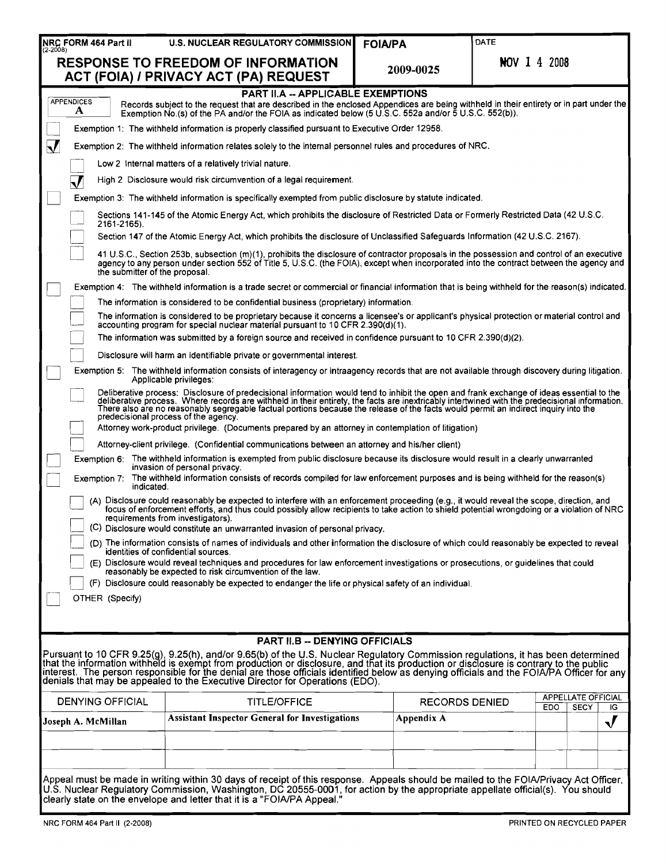|                                                                                                                                                                                                                                                                                                                                                                                                                                                                | NRC FORM 464 Part II                                                                                                                                                                                                                                                                                                                              | <b>U.S. NUCLEAR REGULATORY COMMISSION</b>                                                                                                                                                                                                                                                                                                                                                                     | <b>FOIA/PA</b>        | DATE                |                                                |  |  |  |  |
|----------------------------------------------------------------------------------------------------------------------------------------------------------------------------------------------------------------------------------------------------------------------------------------------------------------------------------------------------------------------------------------------------------------------------------------------------------------|---------------------------------------------------------------------------------------------------------------------------------------------------------------------------------------------------------------------------------------------------------------------------------------------------------------------------------------------------|---------------------------------------------------------------------------------------------------------------------------------------------------------------------------------------------------------------------------------------------------------------------------------------------------------------------------------------------------------------------------------------------------------------|-----------------------|---------------------|------------------------------------------------|--|--|--|--|
|                                                                                                                                                                                                                                                                                                                                                                                                                                                                |                                                                                                                                                                                                                                                                                                                                                   | <b>RESPONSE TO FREEDOM OF INFORMATION</b><br>ACT (FOIA) / PRIVACY ACT (PA) REQUEST                                                                                                                                                                                                                                                                                                                            | 2009-0025             | <b>NOV 1 4 2008</b> |                                                |  |  |  |  |
|                                                                                                                                                                                                                                                                                                                                                                                                                                                                | PART II.A -- APPLICABLE EXEMPTIONS<br><b>APPENDICES</b><br>Records subject to the request that are described in the enclosed Appendices are being withheld in their entirety or in part under the<br>A<br>Exemption No.(s) of the PA and/or the FOIA as indicated below $(5 \cup S.C. 552a$ and/or $\overline{5} \cup S.C. 552(b))$ .             |                                                                                                                                                                                                                                                                                                                                                                                                               |                       |                     |                                                |  |  |  |  |
|                                                                                                                                                                                                                                                                                                                                                                                                                                                                |                                                                                                                                                                                                                                                                                                                                                   | Exemption 1: The withheld information is properly classified pursuant to Executive Order 12958.                                                                                                                                                                                                                                                                                                               |                       |                     |                                                |  |  |  |  |
| $\bm{\nabla}$                                                                                                                                                                                                                                                                                                                                                                                                                                                  |                                                                                                                                                                                                                                                                                                                                                   | Exemption 2: The withheld information relates solely to the internal personnel rules and procedures of NRC.                                                                                                                                                                                                                                                                                                   |                       |                     |                                                |  |  |  |  |
|                                                                                                                                                                                                                                                                                                                                                                                                                                                                | Low 2 Internal matters of a relatively trivial nature.                                                                                                                                                                                                                                                                                            |                                                                                                                                                                                                                                                                                                                                                                                                               |                       |                     |                                                |  |  |  |  |
|                                                                                                                                                                                                                                                                                                                                                                                                                                                                |                                                                                                                                                                                                                                                                                                                                                   | High 2 Disclosure would risk circumvention of a legal requirement.                                                                                                                                                                                                                                                                                                                                            |                       |                     |                                                |  |  |  |  |
|                                                                                                                                                                                                                                                                                                                                                                                                                                                                |                                                                                                                                                                                                                                                                                                                                                   | Exemption 3: The withheld information is specifically exempted from public disclosure by statute indicated.                                                                                                                                                                                                                                                                                                   |                       |                     |                                                |  |  |  |  |
|                                                                                                                                                                                                                                                                                                                                                                                                                                                                | 2161-2165).                                                                                                                                                                                                                                                                                                                                       | Sections 141-145 of the Atomic Energy Act, which prohibits the disclosure of Restricted Data or Formerly Restricted Data (42 U.S.C.                                                                                                                                                                                                                                                                           |                       |                     |                                                |  |  |  |  |
|                                                                                                                                                                                                                                                                                                                                                                                                                                                                |                                                                                                                                                                                                                                                                                                                                                   | Section 147 of the Atomic Energy Act, which prohibits the disclosure of Unclassified Safeguards Information (42 U.S.C. 2167).                                                                                                                                                                                                                                                                                 |                       |                     |                                                |  |  |  |  |
|                                                                                                                                                                                                                                                                                                                                                                                                                                                                | the submitter of the proposal.                                                                                                                                                                                                                                                                                                                    | 41 U.S.C., Section 253b, subsection (m)(1), prohibits the disclosure of contractor proposals in the possession and control of an executive<br>agency to any person under section 552 of Title 5, U.S.C. (the FOIA), except when incorporated into the contract between the agency and                                                                                                                         |                       |                     |                                                |  |  |  |  |
|                                                                                                                                                                                                                                                                                                                                                                                                                                                                |                                                                                                                                                                                                                                                                                                                                                   | Exemption 4: The withheld information is a trade secret or commercial or financial information that is being withheld for the reason(s) indicated.                                                                                                                                                                                                                                                            |                       |                     |                                                |  |  |  |  |
|                                                                                                                                                                                                                                                                                                                                                                                                                                                                |                                                                                                                                                                                                                                                                                                                                                   | The information is considered to be confidential business (proprietary) information.                                                                                                                                                                                                                                                                                                                          |                       |                     |                                                |  |  |  |  |
|                                                                                                                                                                                                                                                                                                                                                                                                                                                                |                                                                                                                                                                                                                                                                                                                                                   | The information is considered to be proprietary because it concerns a licensee's or applicant's physical protection or material control and<br>accounting program for special nuclear material pursuant to 10 CFR 2.390(d)(1).                                                                                                                                                                                |                       |                     |                                                |  |  |  |  |
|                                                                                                                                                                                                                                                                                                                                                                                                                                                                |                                                                                                                                                                                                                                                                                                                                                   | The information was submitted by a foreign source and received in confidence pursuant to 10 CFR 2.390(d)(2).                                                                                                                                                                                                                                                                                                  |                       |                     |                                                |  |  |  |  |
|                                                                                                                                                                                                                                                                                                                                                                                                                                                                |                                                                                                                                                                                                                                                                                                                                                   | Disclosure will harm an identifiable private or governmental interest.<br>Exemption 5: The withheld information consists of interagency or intraagency records that are not available through discovery during litigation.                                                                                                                                                                                    |                       |                     |                                                |  |  |  |  |
|                                                                                                                                                                                                                                                                                                                                                                                                                                                                |                                                                                                                                                                                                                                                                                                                                                   | Applicable privileges:                                                                                                                                                                                                                                                                                                                                                                                        |                       |                     |                                                |  |  |  |  |
|                                                                                                                                                                                                                                                                                                                                                                                                                                                                |                                                                                                                                                                                                                                                                                                                                                   | Deliberative process: Disclosure of predecisional information would tend to inhibit the open and frank exchange of ideas essential to the deliberative process. Where records are withheld in their entirety, the facts are in<br>There also are no reasonably segregable factual portions because the release of the facts would permit an indirect inquiry into the<br>predecisional process of the agency. |                       |                     |                                                |  |  |  |  |
|                                                                                                                                                                                                                                                                                                                                                                                                                                                                |                                                                                                                                                                                                                                                                                                                                                   | Attorney work-product privilege. (Documents prepared by an attorney in contemplation of litigation)                                                                                                                                                                                                                                                                                                           |                       |                     |                                                |  |  |  |  |
|                                                                                                                                                                                                                                                                                                                                                                                                                                                                |                                                                                                                                                                                                                                                                                                                                                   | Attorney-client privilege. (Confidential communications between an attorney and his/her client)<br>Exemption 6: The withheld information is exempted from public disclosure because its disclosure would result in a clearly unwarranted                                                                                                                                                                      |                       |                     |                                                |  |  |  |  |
|                                                                                                                                                                                                                                                                                                                                                                                                                                                                | indicated.                                                                                                                                                                                                                                                                                                                                        | invasion of personal privacy.<br>Exemption 7: The withheld information consists of records compiled for law enforcement purposes and is being withheld for the reason(s)                                                                                                                                                                                                                                      |                       |                     |                                                |  |  |  |  |
|                                                                                                                                                                                                                                                                                                                                                                                                                                                                |                                                                                                                                                                                                                                                                                                                                                   | (A) Disclosure could reasonably be expected to interfere with an enforcement proceeding (e.g., it would reveal the scope, direction, and<br>focus of enforcement efforts, and thus could possibly allow recipients to take action to shield potential wrongdoing or a violation of NRC<br>requirements from investigators).<br>(C) Disclosure would constitute an unwarranted invasion of personal privacy.   |                       |                     |                                                |  |  |  |  |
|                                                                                                                                                                                                                                                                                                                                                                                                                                                                |                                                                                                                                                                                                                                                                                                                                                   | (D) The information consists of names of individuals and other information the disclosure of which could reasonably be expected to reveal                                                                                                                                                                                                                                                                     |                       |                     |                                                |  |  |  |  |
|                                                                                                                                                                                                                                                                                                                                                                                                                                                                |                                                                                                                                                                                                                                                                                                                                                   | identities of confidential sources.<br>(E) Disclosure would reveal techniques and procedures for law enforcement investigations or prosecutions, or guidelines that could                                                                                                                                                                                                                                     |                       |                     |                                                |  |  |  |  |
|                                                                                                                                                                                                                                                                                                                                                                                                                                                                |                                                                                                                                                                                                                                                                                                                                                   | reasonably be expected to risk circumvention of the law.                                                                                                                                                                                                                                                                                                                                                      |                       |                     |                                                |  |  |  |  |
|                                                                                                                                                                                                                                                                                                                                                                                                                                                                | OTHER (Specify)                                                                                                                                                                                                                                                                                                                                   | (F) Disclosure could reasonably be expected to endanger the life or physical safety of an individual.                                                                                                                                                                                                                                                                                                         |                       |                     |                                                |  |  |  |  |
|                                                                                                                                                                                                                                                                                                                                                                                                                                                                |                                                                                                                                                                                                                                                                                                                                                   |                                                                                                                                                                                                                                                                                                                                                                                                               |                       |                     |                                                |  |  |  |  |
|                                                                                                                                                                                                                                                                                                                                                                                                                                                                |                                                                                                                                                                                                                                                                                                                                                   | PART II.B -- DENYING OFFICIALS                                                                                                                                                                                                                                                                                                                                                                                |                       |                     |                                                |  |  |  |  |
| Pursuant to 10 CFR 9.25(g), 9.25(h), and/or 9.65(b) of the U.S. Nuclear Regulatory Commission regulations, it has been determined<br>that the information withheld is exempt from production or disclosure, and that its producti<br>interest. The person responsible for the denial are those officials identified below as denying officials and the FOIA/PA Officer for any<br>denials that may be appealed to the Executive Director for Operations (EDO). |                                                                                                                                                                                                                                                                                                                                                   |                                                                                                                                                                                                                                                                                                                                                                                                               |                       |                     |                                                |  |  |  |  |
|                                                                                                                                                                                                                                                                                                                                                                                                                                                                | <b>DENYING OFFICIAL</b>                                                                                                                                                                                                                                                                                                                           | <b>TITLE/OFFICE</b>                                                                                                                                                                                                                                                                                                                                                                                           | <b>RECORDS DENIED</b> | EDO.                | <b>APPELLATE OFFICIAL</b><br><b>SECY</b><br>ΙG |  |  |  |  |
|                                                                                                                                                                                                                                                                                                                                                                                                                                                                | Joseph A. McMillan                                                                                                                                                                                                                                                                                                                                | <b>Assistant Inspector General for Investigations</b>                                                                                                                                                                                                                                                                                                                                                         | Appendix A            |                     | $\bm{V}$                                       |  |  |  |  |
|                                                                                                                                                                                                                                                                                                                                                                                                                                                                |                                                                                                                                                                                                                                                                                                                                                   |                                                                                                                                                                                                                                                                                                                                                                                                               |                       |                     |                                                |  |  |  |  |
|                                                                                                                                                                                                                                                                                                                                                                                                                                                                |                                                                                                                                                                                                                                                                                                                                                   |                                                                                                                                                                                                                                                                                                                                                                                                               |                       |                     |                                                |  |  |  |  |
|                                                                                                                                                                                                                                                                                                                                                                                                                                                                |                                                                                                                                                                                                                                                                                                                                                   |                                                                                                                                                                                                                                                                                                                                                                                                               |                       |                     |                                                |  |  |  |  |
|                                                                                                                                                                                                                                                                                                                                                                                                                                                                | Appeal must be made in writing within 30 days of receipt of this response. Appeals should be mailed to the FOIA/Privacy Act Officer,<br>U.S. Nuclear Regulatory Commission, Washington, DC 20555-0001, for action by the appropriate appellate official(s). You should<br>clearly state on the envelope and letter that it is a "FOIA/PA Appeal." |                                                                                                                                                                                                                                                                                                                                                                                                               |                       |                     |                                                |  |  |  |  |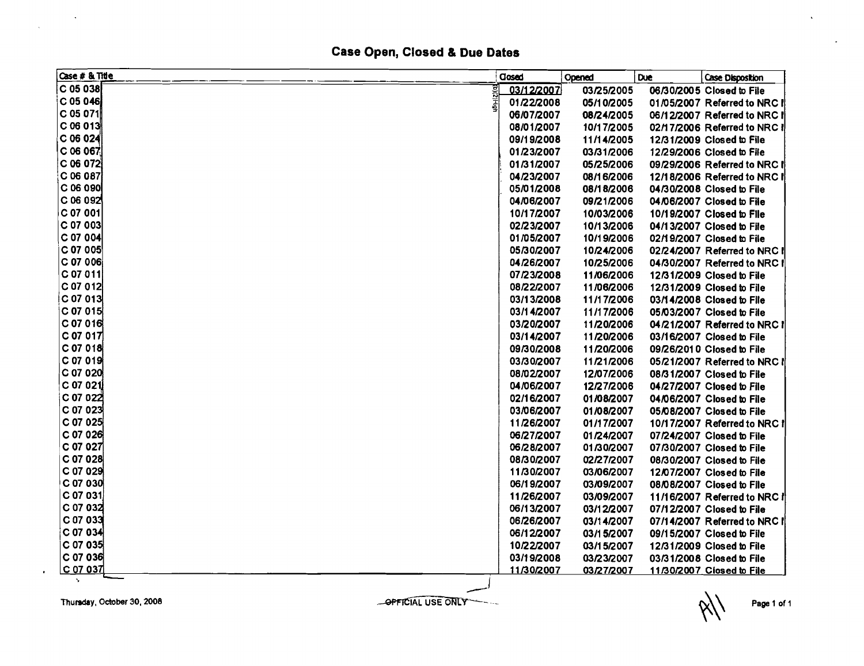## Case Open, Closed & Due Dates

| Case # & Title             | Closed     | Opened     | <b>Due</b> | Case Disposition             |
|----------------------------|------------|------------|------------|------------------------------|
| $C$ 05 038                 | 03/12/2007 | 03/25/2005 |            | 06/30/2005 Closed to File    |
| ∣C 05 046                  | 01/22/2008 | 05/10/2005 |            | 01/05/2007 Referred to NRC I |
| C 05 071∥                  | 06/07/2007 | 08/24/2005 |            | 06/12/2007 Referred to NRC I |
| C 06 013                   | 08/01/2007 | 10/17/2005 |            | 02/17/2006 Referred to NRC I |
| C 06 024                   | 09/19/2008 | 11/14/2005 |            | 12/31/2009 Closed to File    |
| $C$ 06 067                 | 01/23/2007 | 03/31/2006 |            | 12/29/2006 Closed to File    |
| C 06 072                   | 01/31/2007 | 05/25/2006 |            | 09/29/2006 Referred to NRC I |
| C 06 087                   | 04/23/2007 | 08/16/2006 |            | 12/18/2006 Referred to NRC I |
| $C$ 06 090                 | 05/01/2008 | 08/18/2006 |            | 04/30/2008 Closed to File    |
| C 06 092                   | 04/06/2007 | 09/21/2006 |            | 04/06/2007 Closed to File    |
| C 07 001                   | 10/17/2007 | 10/03/2006 |            | 10/19/2007 Closed to File    |
| $ C $ 07 003               | 02/23/2007 | 10/13/2006 |            | 04/13/2007 Closed to File    |
| C 07 004                   | 01/05/2007 | 10/19/2006 |            | 02/19/2007 Closed to File    |
| C 07 005                   | 05/30/2007 | 10/24/2006 |            | 02/24/2007 Referred to NRC I |
| C 07 006                   | 04/26/2007 | 10/25/2006 |            | 04/30/2007 Referred to NRC I |
| C 07 011                   | 07/23/2008 | 11/06/2006 |            | 12/31/2009 Closed to File    |
| $C$ 07 012                 | 08/22/2007 | 11/06/2006 |            | 12/31/2009 Closed to File    |
| $C_{07}$ 013               | 03/13/2008 | 11/17/2006 |            | 03/14/2008 Closed to File    |
| ∣C 07 015                  | 03/14/2007 | 11/17/2006 |            | 05/03/2007 Closed to File    |
| $C$ 07 016                 | 03/20/2007 | 11/20/2006 |            | 04/21/2007 Referred to NRC I |
| C 07 017                   | 03/14/2007 | 11/20/2006 |            | 03/16/2007 Closed to File    |
| $C$ 07 018                 | 09/30/2008 | 11/20/2006 |            | 09/26/2010 Closed to File    |
| C 07 019                   | 03/30/2007 | 11/21/2006 |            | 05/21/2007 Referred to NRC I |
| C 07 020                   | 08/02/2007 | 12/07/2006 |            | 08/31/2007 Closed to File    |
| C 07 021                   | 04/06/2007 | 12/27/2006 |            | 04/27/2007 Closed to File    |
| C 07 022                   | 02/16/2007 | 01/08/2007 |            | 04/06/2007 Closed to File    |
| C 07 023                   | 03/06/2007 | 01/08/2007 |            | 05/08/2007 Closed to File    |
| C 07 025                   | 11/26/2007 | 01/17/2007 |            | 10/17/2007 Referred to NRC!  |
| C 07 026                   | 06/27/2007 | 01/24/2007 |            | 07/24/2007 Closed to File    |
| C 07 027                   | 06/28/2007 | 01/30/2007 |            | 07/30/2007 Closed to File    |
| C 07 028                   | 08/30/2007 | 02/27/2007 |            | 08/30/2007 Closed to File    |
| $C$ 07 029                 | 11/30/2007 | 03/06/2007 |            | 12/07/2007 Closed to File    |
| C 07 030                   | 06/19/2007 | 03/09/2007 |            | 08/08/2007 Closed to File    |
| C 07 031                   | 11/26/2007 | 03/09/2007 |            | 11/16/2007 Referred to NRC I |
| C 07 032                   | 06/13/2007 | 03/12/2007 |            | 07/12/2007 Closed to File    |
| C 07 033                   | 06/26/2007 | 03/14/2007 |            | 07/14/2007 Referred to NRC I |
| $C$ 07 034                 | 06/12/2007 | 03/15/2007 |            | 09/15/2007 Closed to File    |
| C 07 035                   | 10/22/2007 | 03/15/2007 |            | 12/31/2009 Closed to File    |
| C 07 036                   | 03/19/2008 | 03/23/2007 |            | 03/31/2008 Closed to File    |
| <u> C 07 037</u><br>$\sim$ | 11/30/2007 | 03/27/2007 |            | 11/30/2007 Closed to File    |

Page 1 of 1

 $\mathbf{v}$ 

 $\ddot{\phantom{0}}$ 

Thursday, October 30, 2008

 $\bullet$ 

 $\sim 100$ 

 $\bar{\mathcal{A}}$ 

OPFICIAL USE ONLY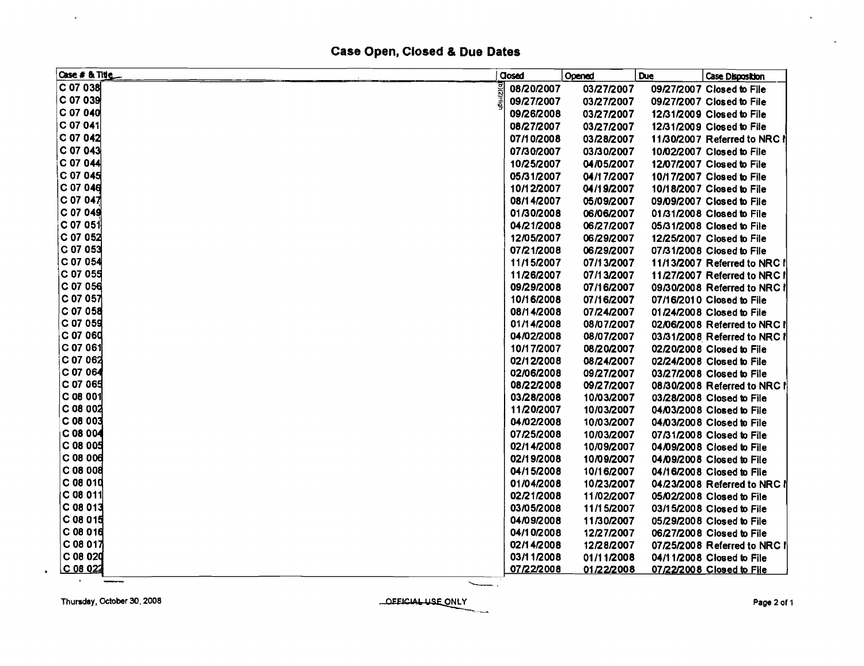## Case Open, Closed & Due Dates

| Case # & Title      | <b>Closed</b> | Opened     | <b>Due</b> | <b>Case Disposition</b>      |
|---------------------|---------------|------------|------------|------------------------------|
| C 07 038            | 08/20/2007    | 03/27/2007 |            | 09/27/2007 Closed to File    |
| C 07 039            | 09/27/2007    | 03/27/2007 |            | 09/27/2007 Closed to File    |
| $C$ 07 040          | 09/26/2008    | 03/27/2007 |            | 12/31/2009 Closed to File    |
| C 07 041            | 08/27/2007    | 03/27/2007 |            | 12/31/2009 Closed to File    |
| C 07 042            | 07/10/2008    | 03/28/2007 |            | 11/30/2007 Referred to NRC ! |
| C 07 043            | 07/30/2007    | 03/30/2007 |            | 10/02/2007 Closed to File    |
| C 07 044            | 10/25/2007    | 04/05/2007 |            | 12/07/2007 Closed to File    |
| C 07 045            | 05/31/2007    | 04/17/2007 |            | 10/17/2007 Closed to File    |
| C 07 046            | 10/12/2007    | 04/19/2007 |            | 10/18/2007 Closed to File    |
| $C$ 07 04 $\vec{z}$ | 08/14/2007    | 05/09/2007 |            | 09/09/2007 Closed to File    |
| C 07 049            | 01/30/2008    | 06/06/2007 |            | 01/31/2008 Closed to File    |
| ⊙ 07 051            | 04/21/2008    | 06/27/2007 |            | 05/31/2008 Closed to File    |
| C 07 052            | 12/05/2007    | 06/29/2007 |            | 12/25/2007 Closed to File    |
| C 07 053            | 07/21/2008    | 06/29/2007 |            | 07/31/2008 Closed to File    |
| C 07 054            | 11/15/2007    | 07/13/2007 |            | 11/13/2007 Referred to NRC I |
| iC 07 055           | 11/26/2007    | 07/13/2007 |            | 11/27/2007 Referred to NRC I |
| C 07 056            | 09/29/2008    | 07/16/2007 |            | 09/30/2008 Referred to NRC ! |
| C 07 057            | 10/16/2008    | 07/16/2007 |            | 07/16/2010 Closed to File    |
| C 07 058            | 08/14/2008    | 07/24/2007 |            | 01/24/2008 Closed to File    |
| C 07 059            | 01/14/2008    | 08/07/2007 |            | 02/06/2008 Referred to NRC I |
| C 07 060            | 04/02/2008    | 08/07/2007 |            | 03/31/2008 Referred to NRC I |
| $C$ 07 061          | 10/17/2007    | 08/20/2007 |            | 02/20/2008 Closed to File    |
| C 07 062            | 02/12/2008    | 08/24/2007 |            | 02/24/2008 Closed to File    |
| C 07 064            | 02/06/2008    | 09/27/2007 |            | 03/27/2008 Closed to File    |
| C 07 065            | 08/22/2008    | 09/27/2007 |            | 08/30/2008 Referred to NRC I |
| C 08 001            | 03/28/2008    | 10/03/2007 |            | 03/28/2008 Closed to File    |
| C 08 002            | 11/20/2007    | 10/03/2007 |            | 04/03/2008 Closed to File    |
| C 08 003            | 04/02/2008    | 10/03/2007 |            | 04/03/2008 Closed to File    |
| C 08 004            | 07/25/2008    | 10/03/2007 |            | 07/31/2008 Closed to File    |
| C 08 005            | 02/14/2008    | 10/09/2007 |            | 04/09/2008 Closed to File    |
| C 08 006            | 02/19/2008    | 10/09/2007 |            | 04/09/2008 Closed to File    |
| C 08 008            | 04/15/2008    | 10/16/2007 |            | 04/16/2008 Closed to File    |
| C 08 010            | 01/04/2008    | 10/23/2007 |            | 04/23/2008 Referred to NRC I |
| $C$ 08 011          | 02/21/2008    | 11/02/2007 |            | 05/02/2008 Closed to File    |
| C 08 013            | 03/05/2008    | 11/15/2007 |            | 03/15/2008 Closed to File    |
| C 08 015            | 04/09/2008    | 11/30/2007 |            | 05/29/2008 Closed to File    |
| C 08 016            | 04/10/2008    | 12/27/2007 |            | 06/27/2008 Closed to File    |
| C 08 017            | 02/14/2008    | 12/28/2007 |            | 07/25/2008 Referred to NRC I |
| C 08 020            | 03/11/2008    | 01/11/2008 |            | 04/11/2008 Closed to File    |
| $C$ 08 022          | 07/22/2008    | 01/22/2008 |            | 07/22/2008 Closed to File    |

 $\mathbf{r}$ 

 $\bullet$ 

 $\mathbf{v}$ 

**DEEICIAL USE ONLY** 

 $\ddot{\phantom{a}}$ 

 $\mathbf{r}$